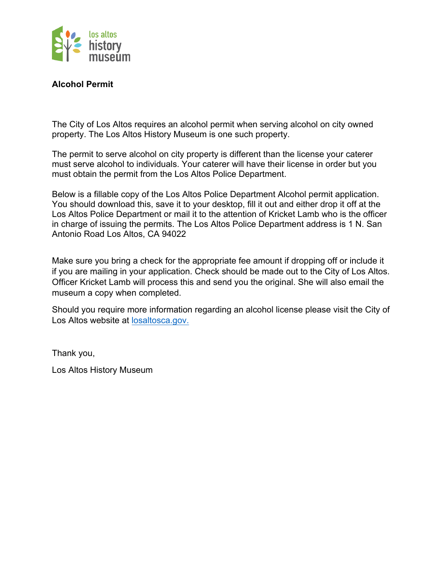

## **Alcohol Permit**

The City of Los Altos requires an alcohol permit when serving alcohol on city owned property. The Los Altos History Museum is one such property.

The permit to serve alcohol on city property is different than the license your caterer must serve alcohol to individuals. Your caterer will have their license in order but you must obtain the permit from the Los Altos Police Department.

Below is a fillable copy of the Los Altos Police Department Alcohol permit application. You should download this, save it to your desktop, fill it out and either drop it off at the Los Altos Police Department or mail it to the attention of Kricket Lamb who is the officer in charge of issuing the permits. The Los Altos Police Department address is 1 N. San Antonio Road Los Altos, CA 94022

Make sure you bring a check for the appropriate fee amount if dropping off or include it if you are mailing in your application. Check should be made out to the City of Los Altos. Officer Kricket Lamb will process this and send you the original. She will also email the museum a copy when completed.

Should you require more information regarding an alcohol license please visit the City of Los Altos website at losaltosca.gov.

Thank you,

Los Altos History Museum